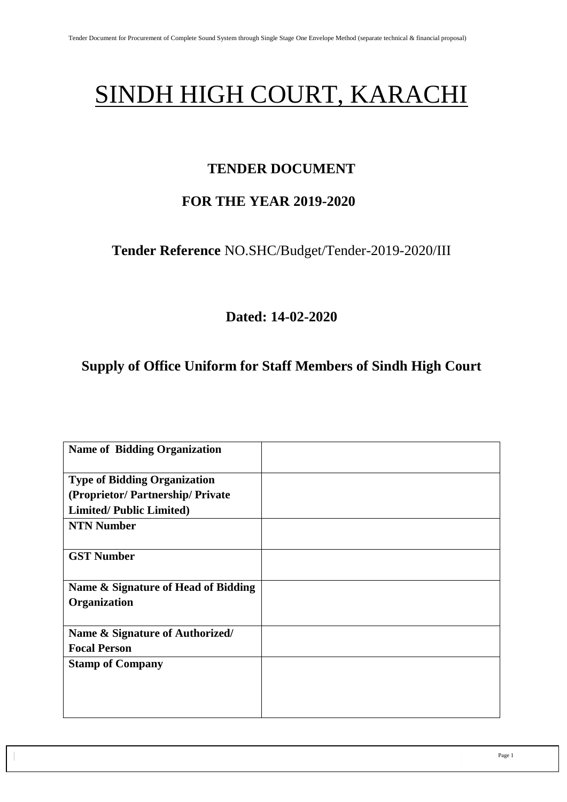# SINDH HIGH COURT, KARACHI

# **TENDER DOCUMENT**

# **FOR THE YEAR 2019-2020**

**Tender Reference** NO.SHC/Budget/Tender-2019-2020/III

**Dated: 14-02-2020**

# **Supply of Office Uniform for Staff Members of Sindh High Court**

| <b>Name of Bidding Organization</b> |  |
|-------------------------------------|--|
| <b>Type of Bidding Organization</b> |  |
| (Proprietor/Partnership/Private     |  |
|                                     |  |
| <b>Limited/Public Limited)</b>      |  |
| <b>NTN Number</b>                   |  |
|                                     |  |
| <b>GST Number</b>                   |  |
|                                     |  |
| Name & Signature of Head of Bidding |  |
| Organization                        |  |
|                                     |  |
| Name & Signature of Authorized/     |  |
| <b>Focal Person</b>                 |  |
| <b>Stamp of Company</b>             |  |
|                                     |  |
|                                     |  |
|                                     |  |
|                                     |  |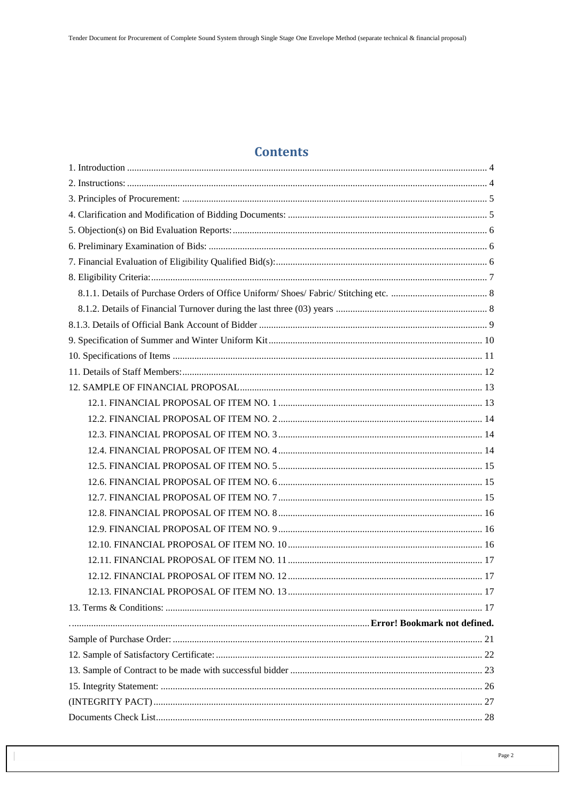# **Contents**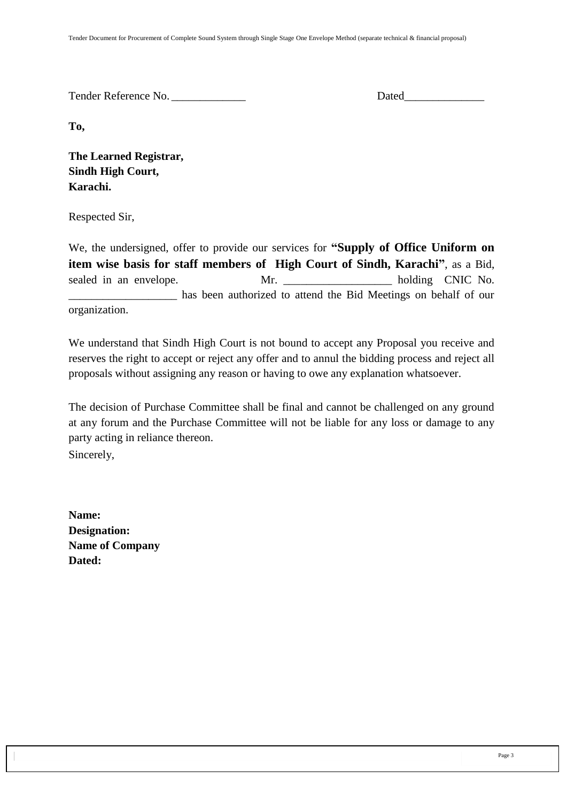Tender Reference No. **Dated** 

**To,** 

**The Learned Registrar, Sindh High Court, Karachi.**

Respected Sir,

We, the undersigned, offer to provide our services for **"Supply of Office Uniform on item wise basis for staff members of High Court of Sindh, Karachi"**, as a Bid, sealed in an envelope. Mr. Mr. holding CNIC No. \_\_\_\_\_\_\_\_\_\_\_\_\_\_\_\_\_\_\_ has been authorized to attend the Bid Meetings on behalf of our organization.

We understand that Sindh High Court is not bound to accept any Proposal you receive and reserves the right to accept or reject any offer and to annul the bidding process and reject all proposals without assigning any reason or having to owe any explanation whatsoever.

The decision of Purchase Committee shall be final and cannot be challenged on any ground at any forum and the Purchase Committee will not be liable for any loss or damage to any party acting in reliance thereon. Sincerely,

**Name: Designation: Name of Company Dated:**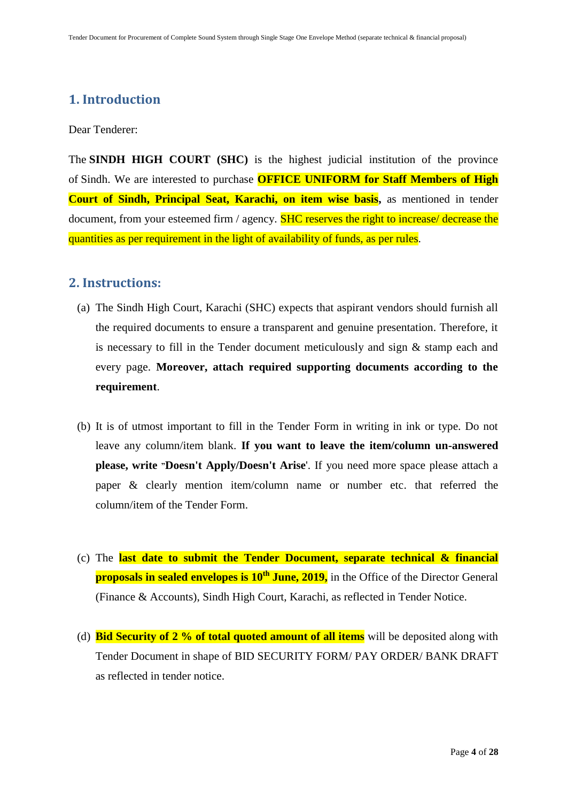### <span id="page-3-0"></span>**1. Introduction**

Dear Tenderer:

The **SINDH HIGH COURT (SHC)** is the highest judicial institution of the province of [Sindh.](https://en.wikipedia.org/wiki/Sindh) We are interested to purchase **OFFICE UNIFORM for Staff Members of High Court of Sindh, Principal Seat, Karachi, on item wise basis,** as mentioned in tender document, from your esteemed firm / agency. **SHC reserves the right to increase/ decrease the** quantities as per requirement in the light of availability of funds, as per rules.

#### <span id="page-3-1"></span>**2. Instructions:**

- (a) The Sindh High Court, Karachi (SHC) expects that aspirant vendors should furnish all the required documents to ensure a transparent and genuine presentation. Therefore, it is necessary to fill in the Tender document meticulously and sign & stamp each and every page. **Moreover, attach required supporting documents according to the requirement**.
- (b) It is of utmost important to fill in the Tender Form in writing in ink or type. Do not leave any column/item blank. **If you want to leave the item/column un-answered please, write "Doesn't Apply/Doesn't Arise**'. If you need more space please attach a paper & clearly mention item/column name or number etc. that referred the column/item of the Tender Form.
- (c) The **last date to submit the Tender Document, separate technical & financial proposals in sealed envelopes is 10<sup>th</sup> June, 2019,** in the Office of the Director General (Finance & Accounts), Sindh High Court, Karachi, as reflected in Tender Notice.
- (d) **Bid Security of 2 % of total quoted amount of all items** will be deposited along with Tender Document in shape of BID SECURITY FORM/ PAY ORDER/ BANK DRAFT as reflected in tender notice.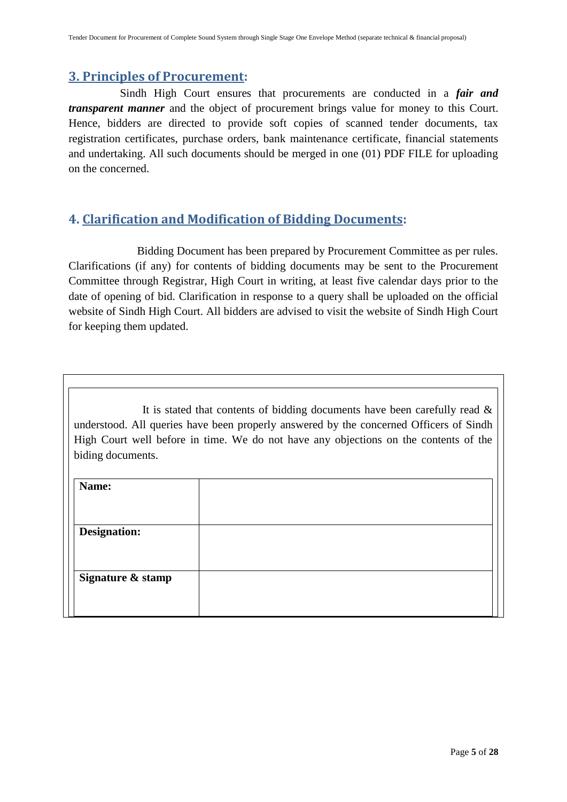### <span id="page-4-0"></span>**3. Principles of Procurement:**

 Sindh High Court ensures that procurements are conducted in a *fair and transparent manner* and the object of procurement brings value for money to this Court. Hence, bidders are directed to provide soft copies of scanned tender documents, tax registration certificates, purchase orders, bank maintenance certificate, financial statements and undertaking. All such documents should be merged in one (01) PDF FILE for uploading on the concerned.

### <span id="page-4-1"></span>**4. Clarification and Modification of Bidding Documents:**

Bidding Document has been prepared by Procurement Committee as per rules. Clarifications (if any) for contents of bidding documents may be sent to the Procurement Committee through Registrar, High Court in writing, at least five calendar days prior to the date of opening of bid. Clarification in response to a query shall be uploaded on the official website of Sindh High Court. All bidders are advised to visit the website of Sindh High Court for keeping them updated.

It is stated that contents of bidding documents have been carefully read  $\&$ understood. All queries have been properly answered by the concerned Officers of Sindh High Court well before in time. We do not have any objections on the contents of the biding documents.

<span id="page-4-2"></span>

| Name:               |  |
|---------------------|--|
|                     |  |
| <b>Designation:</b> |  |
|                     |  |
| Signature & stamp   |  |
|                     |  |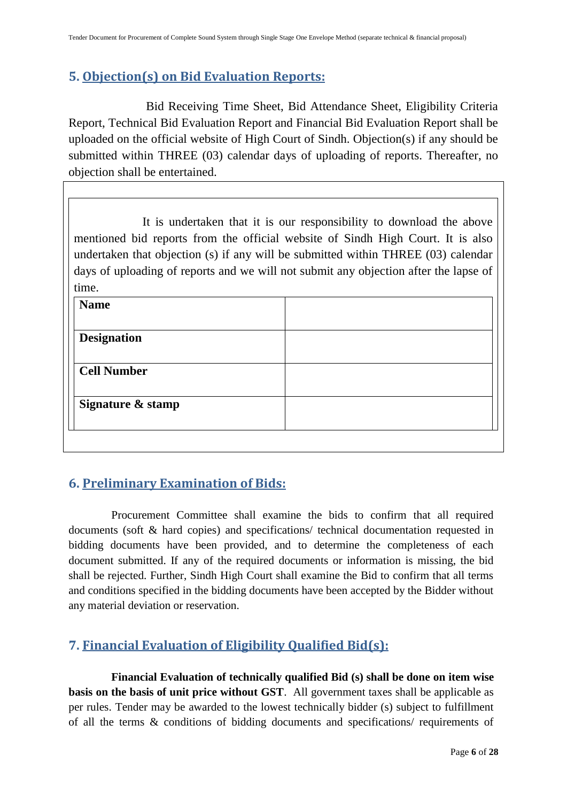## **5. Objection(s) on Bid Evaluation Reports:**

 Bid Receiving Time Sheet, Bid Attendance Sheet, Eligibility Criteria Report, Technical Bid Evaluation Report and Financial Bid Evaluation Report shall be uploaded on the official website of High Court of Sindh. Objection(s) if any should be submitted within THREE (03) calendar days of uploading of reports. Thereafter, no objection shall be entertained.

It is undertaken that it is our responsibility to download the above mentioned bid reports from the official website of Sindh High Court. It is also undertaken that objection (s) if any will be submitted within THREE (03) calendar days of uploading of reports and we will not submit any objection after the lapse of time.

| <b>Name</b>        |  |
|--------------------|--|
|                    |  |
| <b>Designation</b> |  |
|                    |  |
| <b>Cell Number</b> |  |
|                    |  |
| Signature & stamp  |  |
|                    |  |
|                    |  |

# <span id="page-5-0"></span>**6. Preliminary Examination of Bids:**

 Procurement Committee shall examine the bids to confirm that all required documents (soft & hard copies) and specifications/ technical documentation requested in bidding documents have been provided, and to determine the completeness of each document submitted. If any of the required documents or information is missing, the bid shall be rejected. Further, Sindh High Court shall examine the Bid to confirm that all terms and conditions specified in the bidding documents have been accepted by the Bidder without any material deviation or reservation.

# <span id="page-5-1"></span>**7. Financial Evaluation of Eligibility Qualified Bid(s):**

 **Financial Evaluation of technically qualified Bid (s) shall be done on item wise basis on the basis of unit price without GST**. All government taxes shall be applicable as per rules. Tender may be awarded to the lowest technically bidder (s) subject to fulfillment of all the terms & conditions of bidding documents and specifications/ requirements of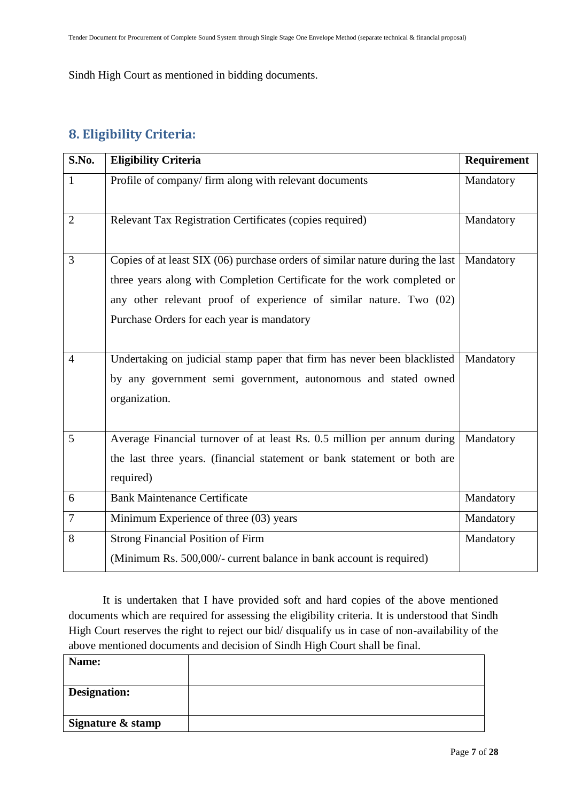Sindh High Court as mentioned in bidding documents.

# <span id="page-6-0"></span>**8. Eligibility Criteria:**

| S.No.          | <b>Eligibility Criteria</b>                                                                                                                                                                                                                                                  | Requirement |
|----------------|------------------------------------------------------------------------------------------------------------------------------------------------------------------------------------------------------------------------------------------------------------------------------|-------------|
| $\mathbf{1}$   | Profile of company/firm along with relevant documents                                                                                                                                                                                                                        | Mandatory   |
| $\overline{2}$ | Relevant Tax Registration Certificates (copies required)                                                                                                                                                                                                                     | Mandatory   |
| 3              | Copies of at least SIX (06) purchase orders of similar nature during the last<br>three years along with Completion Certificate for the work completed or<br>any other relevant proof of experience of similar nature. Two (02)<br>Purchase Orders for each year is mandatory | Mandatory   |
| $\overline{4}$ | Undertaking on judicial stamp paper that firm has never been blacklisted<br>by any government semi government, autonomous and stated owned<br>organization.                                                                                                                  | Mandatory   |
| 5              | Average Financial turnover of at least Rs. 0.5 million per annum during<br>the last three years. (financial statement or bank statement or both are<br>required)                                                                                                             | Mandatory   |
| 6              | <b>Bank Maintenance Certificate</b>                                                                                                                                                                                                                                          | Mandatory   |
| $\tau$         | Minimum Experience of three (03) years                                                                                                                                                                                                                                       | Mandatory   |
| 8              | <b>Strong Financial Position of Firm</b><br>(Minimum Rs. 500,000/- current balance in bank account is required)                                                                                                                                                              | Mandatory   |

It is undertaken that I have provided soft and hard copies of the above mentioned documents which are required for assessing the eligibility criteria. It is understood that Sindh High Court reserves the right to reject our bid/ disqualify us in case of non-availability of the above mentioned documents and decision of Sindh High Court shall be final.

| Name:             |  |
|-------------------|--|
| Designation:      |  |
| Signature & stamp |  |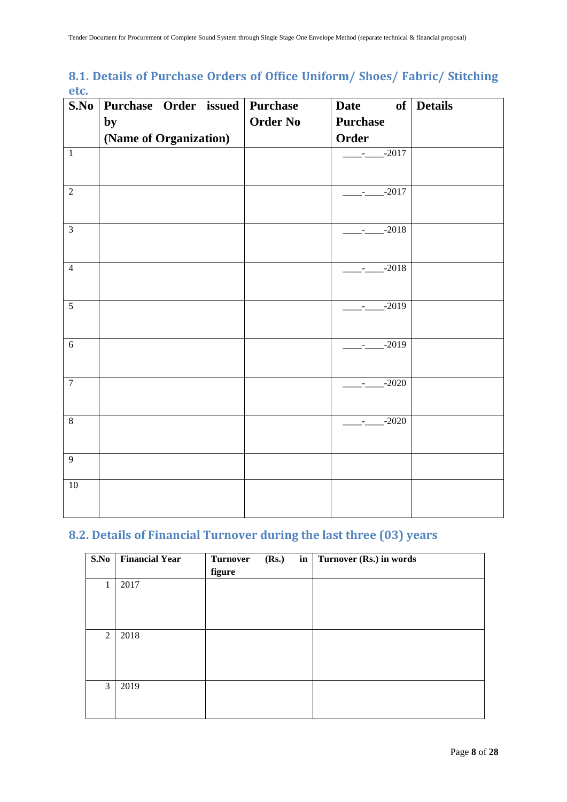### <span id="page-7-0"></span>**8.1. Details of Purchase Orders of Office Uniform/ Shoes/ Fabric/ Stitching etc.**

| S.No           | Purchase Order issued Purchase |                 | <b>Date</b><br>of        | <b>Details</b> |
|----------------|--------------------------------|-----------------|--------------------------|----------------|
|                | by                             | <b>Order No</b> | <b>Purchase</b>          |                |
|                | (Name of Organization)         |                 | Order                    |                |
| $\overline{1}$ |                                |                 | $-2017$                  |                |
| $\overline{2}$ |                                |                 | $\frac{1}{2}$ -2017      |                |
| $\overline{3}$ |                                |                 | $-2018$                  |                |
| $\overline{4}$ |                                |                 | $-$ - $-$ - $-$ - $2018$ |                |
| $\overline{5}$ |                                |                 | $\frac{1}{2}$ -2019      |                |
| $\sqrt{6}$     |                                |                 | $-2019$                  |                |
| $\overline{7}$ |                                |                 | $-2020$                  |                |
| $\overline{8}$ |                                |                 | $-2020$                  |                |
| $\overline{9}$ |                                |                 |                          |                |
| 10             |                                |                 |                          |                |

# <span id="page-7-1"></span>**8.2. Details of Financial Turnover during the last three (03) years**

| S.No | <b>Financial Year</b> | (Rs.)<br><b>Turnover</b><br>figure | in | Turnover (Rs.) in words |
|------|-----------------------|------------------------------------|----|-------------------------|
|      | 2017                  |                                    |    |                         |
| 2    | 2018                  |                                    |    |                         |
| 3    | 2019                  |                                    |    |                         |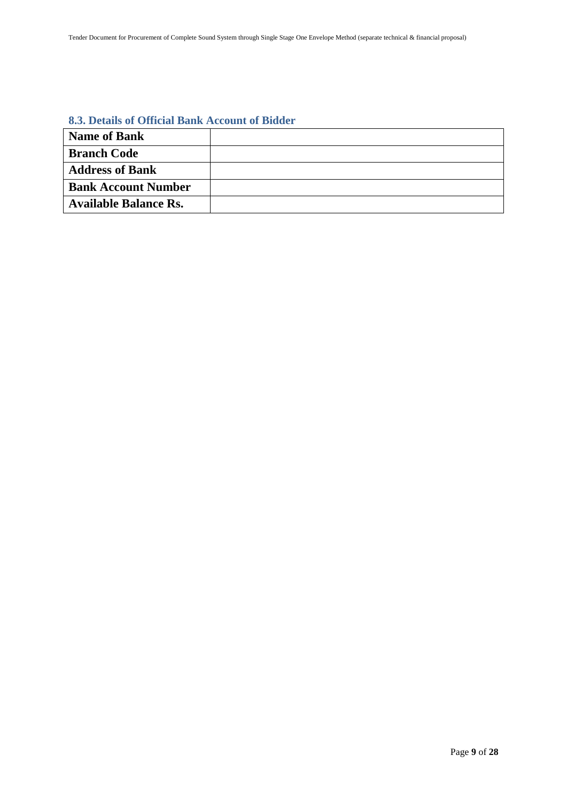#### <span id="page-8-0"></span>**8.3. Details of Official Bank Account of Bidder**

| <b>Name of Bank</b>          |  |
|------------------------------|--|
| <b>Branch Code</b>           |  |
| <b>Address of Bank</b>       |  |
| <b>Bank Account Number</b>   |  |
| <b>Available Balance Rs.</b> |  |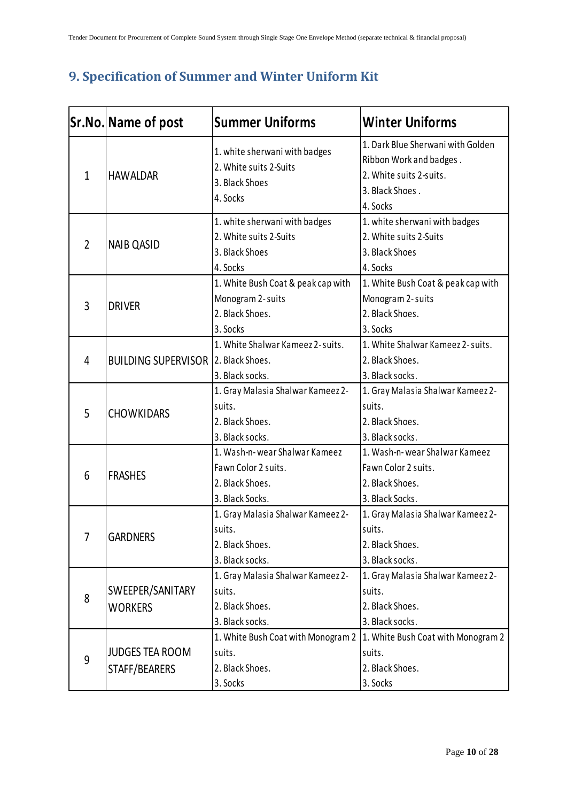# <span id="page-9-0"></span>**9. Specification of Summer and Winter Uniform Kit**

|                | Sr.No. Name of post                        | <b>Summer Uniforms</b>                                                                     | <b>Winter Uniforms</b>                                                                                                 |
|----------------|--------------------------------------------|--------------------------------------------------------------------------------------------|------------------------------------------------------------------------------------------------------------------------|
| $\mathbf{1}$   | <b>HAWALDAR</b>                            | 1. white sherwani with badges<br>2. White suits 2-Suits<br>3. Black Shoes<br>4. Socks      | 1. Dark Blue Sherwani with Golden<br>Ribbon Work and badges.<br>2. White suits 2-suits.<br>3. Black Shoes.<br>4. Socks |
| $\overline{2}$ | <b>NAIB QASID</b>                          | 1. white sherwani with badges<br>2. White suits 2-Suits<br>3. Black Shoes<br>4. Socks      | 1. white sherwani with badges<br>2. White suits 2-Suits<br>3. Black Shoes<br>4. Socks                                  |
| 3              | <b>DRIVER</b>                              | 1. White Bush Coat & peak cap with<br>Monogram 2-suits<br>2. Black Shoes.<br>3. Socks      | 1. White Bush Coat & peak cap with<br>Monogram 2-suits<br>2. Black Shoes.<br>3. Socks                                  |
| 4              | <b>BUILDING SUPERVISOR 2. Black Shoes.</b> | 1. White Shalwar Kameez 2-suits.<br>3. Black socks.                                        | 1. White Shalwar Kameez 2-suits.<br>2. Black Shoes.<br>3. Black socks.                                                 |
| 5              | <b>CHOWKIDARS</b>                          | 1. Gray Malasia Shalwar Kameez 2-<br>suits.<br>2. Black Shoes.<br>3. Black socks.          | 1. Gray Malasia Shalwar Kameez 2-<br>suits.<br>2. Black Shoes.<br>3. Black socks.                                      |
| 6              | <b>FRASHES</b>                             | 1. Wash-n-wear Shalwar Kameez<br>Fawn Color 2 suits.<br>2. Black Shoes.<br>3. Black Socks. | 1. Wash-n-wear Shalwar Kameez<br>Fawn Color 2 suits.<br>2. Black Shoes.<br>3. Black Socks.                             |
| 7              | <b>GARDNERS</b>                            | 1. Gray Malasia Shalwar Kameez 2-<br>suits.<br>2. Black Shoes.<br>3. Black socks.          | 1. Gray Malasia Shalwar Kameez 2-<br>suits.<br>2. Black Shoes.<br>3. Black socks.                                      |
| 8              | SWEEPER/SANITARY<br><b>WORKERS</b>         | 1. Gray Malasia Shalwar Kameez 2-<br>suits.<br>2. Black Shoes.<br>3. Black socks.          | 1. Gray Malasia Shalwar Kameez 2-<br>suits.<br>2. Black Shoes.<br>3. Black socks.                                      |
| 9              | <b>JUDGES TEA ROOM</b><br>STAFF/BEARERS    | 1. White Bush Coat with Monogram 2<br>suits.<br>2. Black Shoes.<br>3. Socks                | 1. White Bush Coat with Monogram 2<br>suits.<br>2. Black Shoes.<br>3. Socks                                            |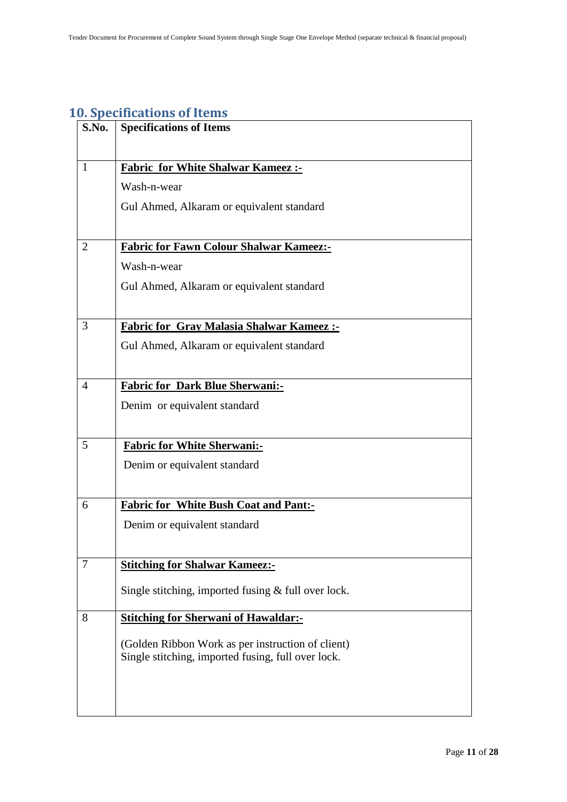# <span id="page-10-0"></span>**10. Specifications of Items**

| S.No.          | <b>Specifications of Items</b>                        |
|----------------|-------------------------------------------------------|
|                |                                                       |
| $\mathbf{1}$   | <b>Fabric for White Shalwar Kameez :-</b>             |
|                | Wash-n-wear                                           |
|                | Gul Ahmed, Alkaram or equivalent standard             |
|                |                                                       |
| $\overline{2}$ | <b>Fabric for Fawn Colour Shalwar Kameez:-</b>        |
|                | Wash-n-wear                                           |
|                | Gul Ahmed, Alkaram or equivalent standard             |
|                |                                                       |
| 3              | <b>Fabric for Gray Malasia Shalwar Kameez:-</b>       |
|                | Gul Ahmed, Alkaram or equivalent standard             |
|                |                                                       |
| $\overline{4}$ | <b>Fabric for Dark Blue Sherwani:-</b>                |
|                | Denim or equivalent standard                          |
|                |                                                       |
| 5              | <b>Fabric for White Sherwani:-</b>                    |
|                | Denim or equivalent standard                          |
|                |                                                       |
| 6              | <b>Fabric for White Bush Coat and Pant:-</b>          |
|                | Denim or equivalent standard                          |
|                |                                                       |
| 7              | <b>Stitching for Shalwar Kameez:-</b>                 |
|                | Single stitching, imported fusing $&$ full over lock. |
|                |                                                       |
| 8              | <b>Stitching for Sherwani of Hawaldar:-</b>           |
|                | (Golden Ribbon Work as per instruction of client)     |
|                | Single stitching, imported fusing, full over lock.    |
|                |                                                       |
|                |                                                       |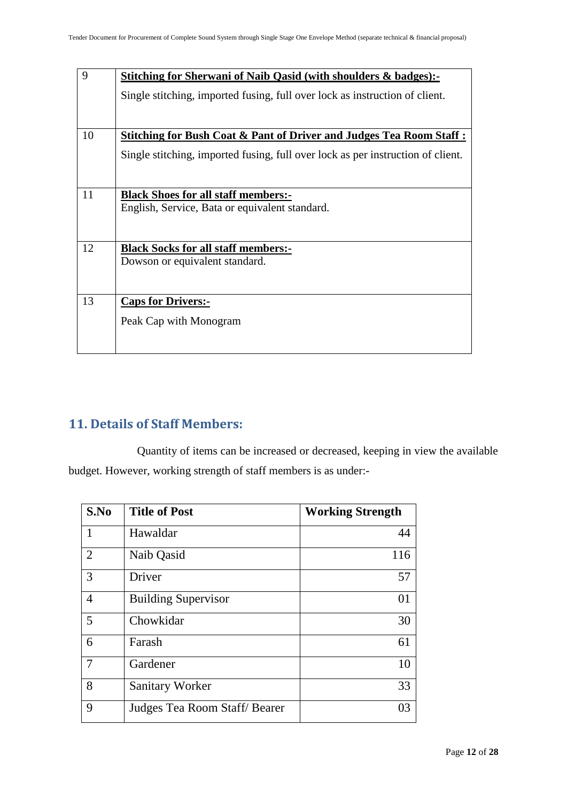| 9  | <b>Stitching for Sherwani of Naib Qasid (with shoulders &amp; badges):-</b>     |
|----|---------------------------------------------------------------------------------|
|    | Single stitching, imported fusing, full over lock as instruction of client.     |
|    |                                                                                 |
| 10 | Stitching for Bush Coat & Pant of Driver and Judges Tea Room Staff :            |
|    | Single stitching, imported fusing, full over lock as per instruction of client. |
|    |                                                                                 |
| 11 | <b>Black Shoes for all staff members:-</b>                                      |
|    | English, Service, Bata or equivalent standard.                                  |
|    |                                                                                 |
| 12 | <b>Black Socks for all staff members:-</b>                                      |
|    | Dowson or equivalent standard.                                                  |
|    |                                                                                 |
| 13 | <b>Caps for Drivers:-</b>                                                       |
|    | Peak Cap with Monogram                                                          |
|    |                                                                                 |
|    |                                                                                 |

# <span id="page-11-0"></span>**11. Details of Staff Members:**

Quantity of items can be increased or decreased, keeping in view the available budget. However, working strength of staff members is as under:-

| S.No           | <b>Title of Post</b>         | <b>Working Strength</b> |
|----------------|------------------------------|-------------------------|
| 1              | Hawaldar                     | 44                      |
| $\overline{2}$ | Naib Qasid                   | 116                     |
| 3              | Driver                       | 57                      |
| $\overline{4}$ | <b>Building Supervisor</b>   | 01                      |
| 5              | Chowkidar                    | 30                      |
| 6              | Farash                       | 61                      |
| 7              | Gardener                     | 10                      |
| 8              | <b>Sanitary Worker</b>       | 33                      |
| 9              | Judges Tea Room Staff/Bearer | 03                      |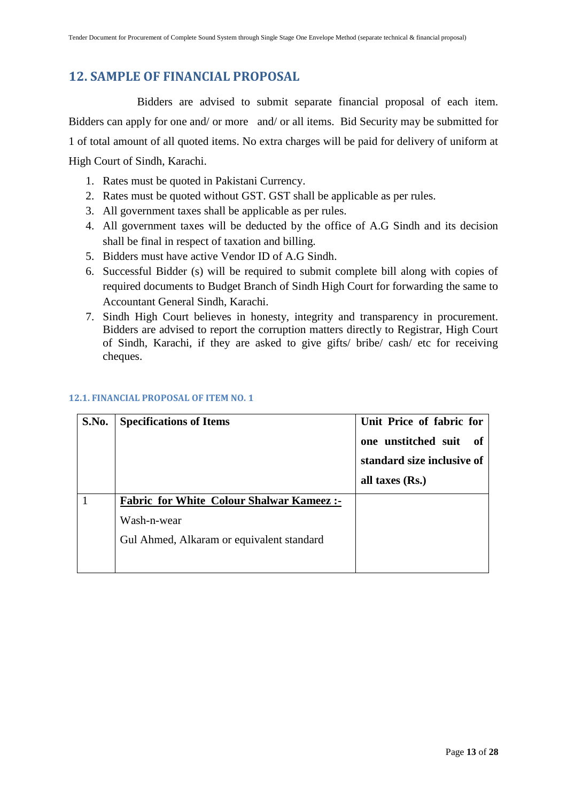## <span id="page-12-0"></span>**12. SAMPLE OF FINANCIAL PROPOSAL**

Bidders are advised to submit separate financial proposal of each item. Bidders can apply for one and/ or more and/ or all items. Bid Security may be submitted for 1 of total amount of all quoted items. No extra charges will be paid for delivery of uniform at High Court of Sindh, Karachi.

- 1. Rates must be quoted in Pakistani Currency.
- 2. Rates must be quoted without GST. GST shall be applicable as per rules.
- 3. All government taxes shall be applicable as per rules.
- 4. All government taxes will be deducted by the office of A.G Sindh and its decision shall be final in respect of taxation and billing.
- 5. Bidders must have active Vendor ID of A.G Sindh.
- 6. Successful Bidder (s) will be required to submit complete bill along with copies of required documents to Budget Branch of Sindh High Court for forwarding the same to Accountant General Sindh, Karachi.
- 7. Sindh High Court believes in honesty, integrity and transparency in procurement. Bidders are advised to report the corruption matters directly to Registrar, High Court of Sindh, Karachi, if they are asked to give gifts/ bribe/ cash/ etc for receiving cheques.

<span id="page-12-2"></span>

| S.No. | <b>Specifications of Items</b>                  | Unit Price of fabric for<br>one unstitched suit<br>- of<br>standard size inclusive of |
|-------|-------------------------------------------------|---------------------------------------------------------------------------------------|
|       |                                                 |                                                                                       |
|       |                                                 | all taxes $(Rs.)$                                                                     |
|       | <b>Fabric for White Colour Shalwar Kameez:-</b> |                                                                                       |
|       | Wash-n-wear                                     |                                                                                       |
|       | Gul Ahmed, Alkaram or equivalent standard       |                                                                                       |
|       |                                                 |                                                                                       |

#### <span id="page-12-1"></span>**12.1. FINANCIAL PROPOSAL OF ITEM NO. 1**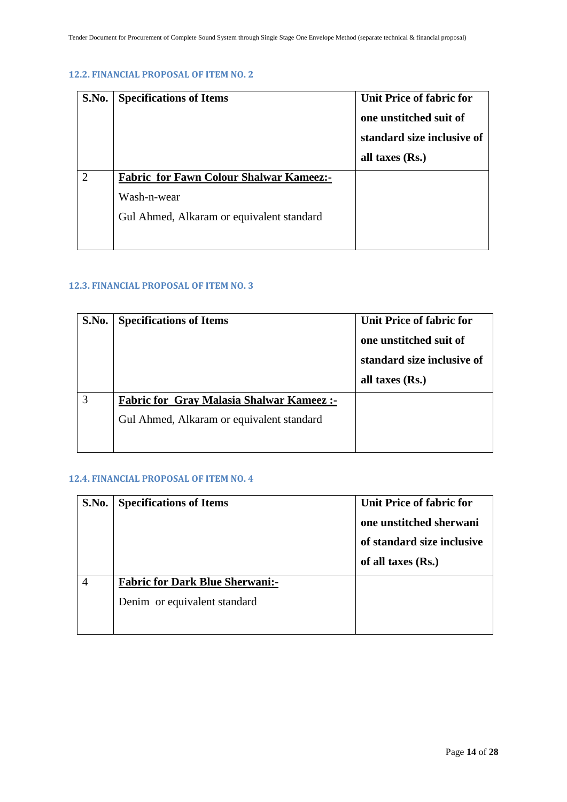#### **12.2. FINANCIAL PROPOSAL OF ITEM NO. 2**

| S.No. | <b>Specifications of Items</b>                 | Unit Price of fabric for<br>one unstitched suit of<br>standard size inclusive of<br>all taxes $(Rs.)$ |
|-------|------------------------------------------------|-------------------------------------------------------------------------------------------------------|
|       | <b>Fabric for Fawn Colour Shalwar Kameez:-</b> |                                                                                                       |
|       | Wash-n-wear                                    |                                                                                                       |
|       | Gul Ahmed, Alkaram or equivalent standard      |                                                                                                       |
|       |                                                |                                                                                                       |

#### <span id="page-13-0"></span>**12.3. FINANCIAL PROPOSAL OF ITEM NO. 3**

| S.No. | <b>Specifications of Items</b>                  | Unit Price of fabric for<br>one unstitched suit of<br>standard size inclusive of<br>all taxes $(Rs.)$ |
|-------|-------------------------------------------------|-------------------------------------------------------------------------------------------------------|
|       | <b>Fabric for Gray Malasia Shalwar Kameez:-</b> |                                                                                                       |
|       | Gul Ahmed, Alkaram or equivalent standard       |                                                                                                       |
|       |                                                 |                                                                                                       |

#### <span id="page-13-1"></span>**12.4. FINANCIAL PROPOSAL OF ITEM NO. 4**

| S.No.          | <b>Specifications of Items</b>                                         | Unit Price of fabric for<br>one unstitched sherwani<br>of standard size inclusive<br>of all taxes $(Rs.)$ |
|----------------|------------------------------------------------------------------------|-----------------------------------------------------------------------------------------------------------|
| $\overline{4}$ | <b>Fabric for Dark Blue Sherwani:-</b><br>Denim or equivalent standard |                                                                                                           |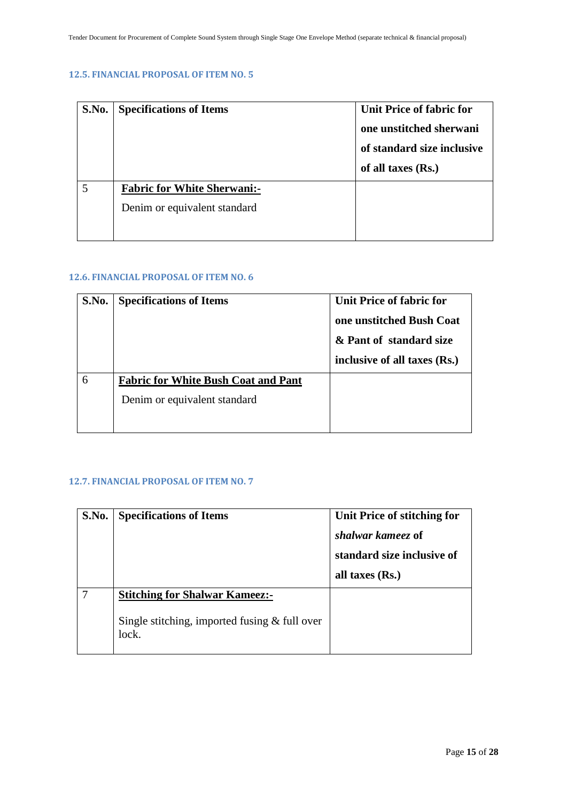#### <span id="page-14-0"></span>**12.5. FINANCIAL PROPOSAL OF ITEM NO. 5**

| S.No. | <b>Specifications of Items</b>                                     | Unit Price of fabric for<br>one unstitched sherwani<br>of standard size inclusive<br>of all taxes $(Rs.)$ |
|-------|--------------------------------------------------------------------|-----------------------------------------------------------------------------------------------------------|
|       | <b>Fabric for White Sherwani:-</b><br>Denim or equivalent standard |                                                                                                           |

#### <span id="page-14-1"></span>**12.6. FINANCIAL PROPOSAL OF ITEM NO. 6**

| S.No. | <b>Specifications of Items</b>             | Unit Price of fabric for<br>one unstitched Bush Coat |
|-------|--------------------------------------------|------------------------------------------------------|
|       |                                            |                                                      |
|       |                                            | & Pant of standard size                              |
|       |                                            | inclusive of all taxes (Rs.)                         |
| 6     | <b>Fabric for White Bush Coat and Pant</b> |                                                      |
|       | Denim or equivalent standard               |                                                      |
|       |                                            |                                                      |

#### <span id="page-14-2"></span>**12.7. FINANCIAL PROPOSAL OF ITEM NO. 7**

| S.No. | <b>Specifications of Items</b>                                                                    | Unit Price of stitching for<br>shalwar kameez of<br>standard size inclusive of<br>all taxes $(Rs.)$ |
|-------|---------------------------------------------------------------------------------------------------|-----------------------------------------------------------------------------------------------------|
|       | <b>Stitching for Shalwar Kameez:-</b><br>Single stitching, imported fusing $&$ full over<br>lock. |                                                                                                     |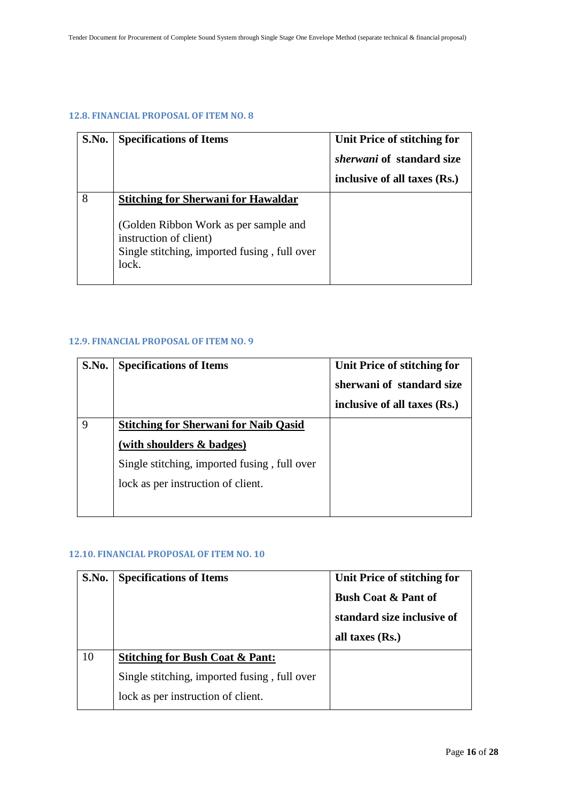#### <span id="page-15-0"></span>**12.8. FINANCIAL PROPOSAL OF ITEM NO. 8**

| S.No. | <b>Specifications of Items</b>                                                                                                                                         | Unit Price of stitching for<br><i>sherwani</i> of standard size<br>inclusive of all taxes (Rs.) |
|-------|------------------------------------------------------------------------------------------------------------------------------------------------------------------------|-------------------------------------------------------------------------------------------------|
| 8     | <b>Stitching for Sherwani for Hawaldar</b><br>(Golden Ribbon Work as per sample and<br>instruction of client)<br>Single stitching, imported fusing, full over<br>lock. |                                                                                                 |

#### <span id="page-15-1"></span>**12.9. FINANCIAL PROPOSAL OF ITEM NO. 9**

| S.No. | <b>Specifications of Items</b>                                                     | Unit Price of stitching for<br>sherwani of standard size<br>inclusive of all taxes (Rs.) |
|-------|------------------------------------------------------------------------------------|------------------------------------------------------------------------------------------|
| Q     | <b>Stitching for Sherwani for Naib Qasid</b><br>(with shoulders & badges)          |                                                                                          |
|       | Single stitching, imported fusing, full over<br>lock as per instruction of client. |                                                                                          |

#### <span id="page-15-2"></span>**12.10. FINANCIAL PROPOSAL OF ITEM NO. 10**

| S.No. | <b>Specifications of Items</b>               | Unit Price of stitching for<br><b>Bush Coat &amp; Pant of</b><br>standard size inclusive of<br>all taxes $(Rs.)$ |
|-------|----------------------------------------------|------------------------------------------------------------------------------------------------------------------|
| 10    | <b>Stitching for Bush Coat &amp; Pant:</b>   |                                                                                                                  |
|       | Single stitching, imported fusing, full over |                                                                                                                  |
|       | lock as per instruction of client.           |                                                                                                                  |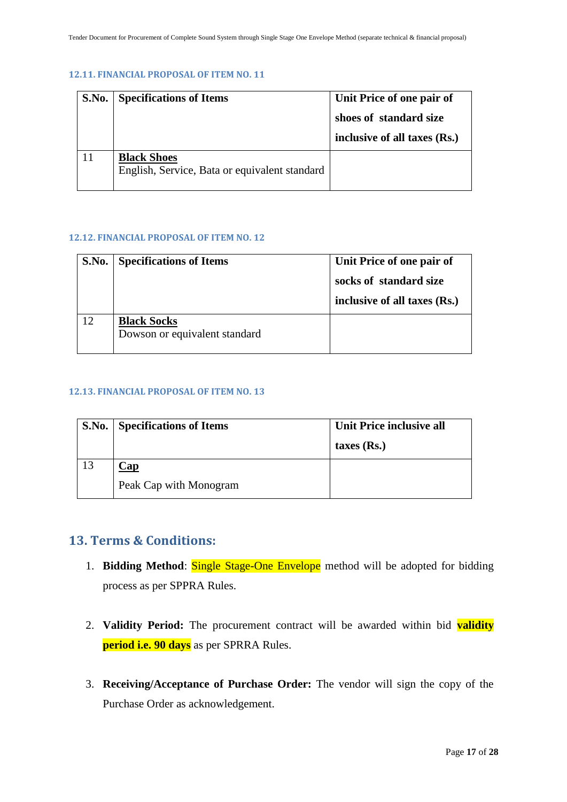#### <span id="page-16-0"></span>**12.11. FINANCIAL PROPOSAL OF ITEM NO. 11**

| S.No. Specifications of Items                                       | Unit Price of one pair of<br>shoes of standard size<br>inclusive of all taxes (Rs.) |
|---------------------------------------------------------------------|-------------------------------------------------------------------------------------|
| <b>Black Shoes</b><br>English, Service, Bata or equivalent standard |                                                                                     |

#### <span id="page-16-1"></span>**12.12. FINANCIAL PROPOSAL OF ITEM NO. 12**

| S.No. | <b>Specifications of Items</b>                      | Unit Price of one pair of                              |
|-------|-----------------------------------------------------|--------------------------------------------------------|
|       |                                                     | socks of standard size<br>inclusive of all taxes (Rs.) |
| 12    | <b>Black Socks</b><br>Dowson or equivalent standard |                                                        |

#### <span id="page-16-2"></span>**12.13. FINANCIAL PROPOSAL OF ITEM NO. 13**

| S.No. Specifications of Items | Unit Price inclusive all |
|-------------------------------|--------------------------|
|                               | taxes $(Rs.)$            |
| $\angle$ ap                   |                          |
| Peak Cap with Monogram        |                          |

### <span id="page-16-3"></span>**13. Terms & Conditions:**

- 1. **Bidding Method**: Single Stage-One Envelope method will be adopted for bidding process as per SPPRA Rules.
- 2. **Validity Period:** The procurement contract will be awarded within bid **validity period i.e. 90 days** as per SPRRA Rules.
- 3. **Receiving/Acceptance of Purchase Order:** The vendor will sign the copy of the Purchase Order as acknowledgement.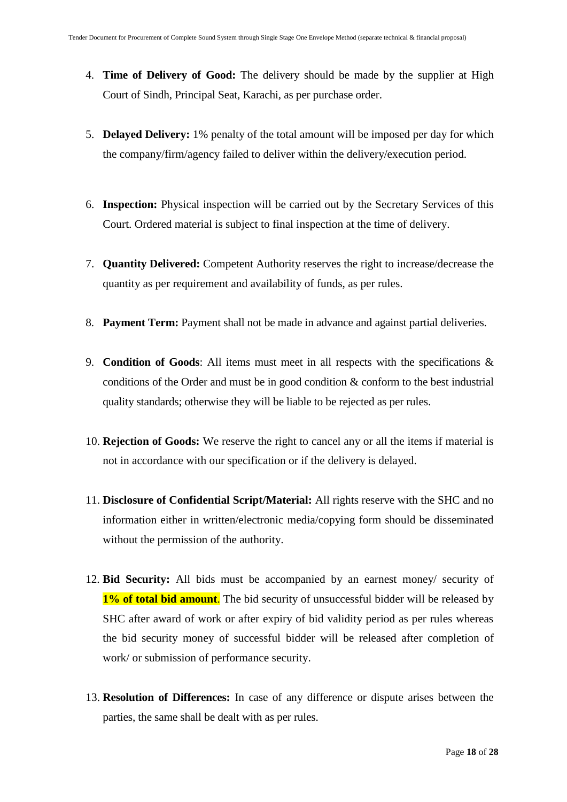- 4. **Time of Delivery of Good:** The delivery should be made by the supplier at High Court of Sindh, Principal Seat, Karachi, as per purchase order.
- 5. **Delayed Delivery:** 1% penalty of the total amount will be imposed per day for which the company/firm/agency failed to deliver within the delivery/execution period.
- 6. **Inspection:** Physical inspection will be carried out by the Secretary Services of this Court. Ordered material is subject to final inspection at the time of delivery.
- 7. **Quantity Delivered:** Competent Authority reserves the right to increase/decrease the quantity as per requirement and availability of funds, as per rules.
- 8. **Payment Term:** Payment shall not be made in advance and against partial deliveries.
- 9. **Condition of Goods**: All items must meet in all respects with the specifications & conditions of the Order and must be in good condition & conform to the best industrial quality standards; otherwise they will be liable to be rejected as per rules.
- 10. **Rejection of Goods:** We reserve the right to cancel any or all the items if material is not in accordance with our specification or if the delivery is delayed.
- 11. **Disclosure of Confidential Script/Material:** All rights reserve with the SHC and no information either in written/electronic media/copying form should be disseminated without the permission of the authority.
- 12. **Bid Security:** All bids must be accompanied by an earnest money/ security of **1% of total bid amount.** The bid security of unsuccessful bidder will be released by SHC after award of work or after expiry of bid validity period as per rules whereas the bid security money of successful bidder will be released after completion of work/ or submission of performance security.
- 13. **Resolution of Differences:** In case of any difference or dispute arises between the parties, the same shall be dealt with as per rules.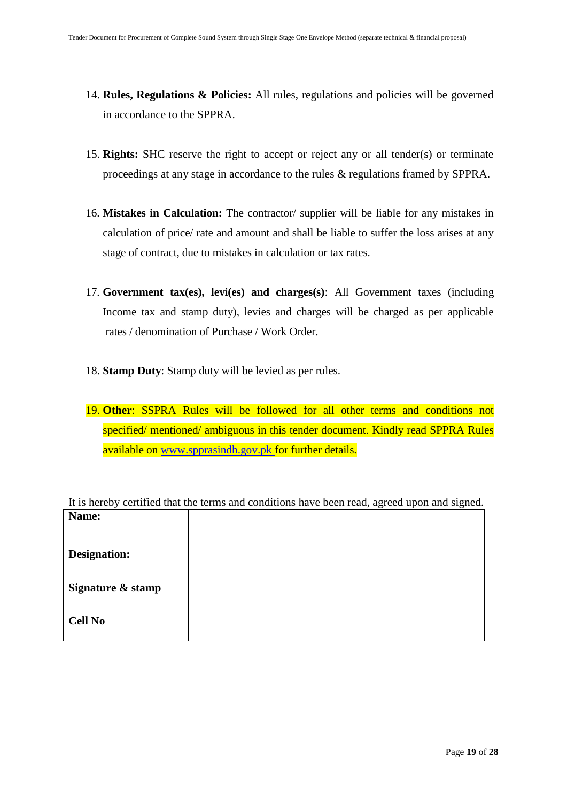- 14. **Rules, Regulations & Policies:** All rules, regulations and policies will be governed in accordance to the SPPRA.
- 15. **Rights:** SHC reserve the right to accept or reject any or all tender(s) or terminate proceedings at any stage in accordance to the rules & regulations framed by SPPRA.
- 16. **Mistakes in Calculation:** The contractor/ supplier will be liable for any mistakes in calculation of price/ rate and amount and shall be liable to suffer the loss arises at any stage of contract, due to mistakes in calculation or tax rates.
- 17. **Government tax(es), levi(es) and charges(s)**: All Government taxes (including Income tax and stamp duty), levies and charges will be charged as per applicable rates / denomination of Purchase / Work Order.
- 18. **Stamp Duty**: Stamp duty will be levied as per rules.
- 19. **Other**: SSPRA Rules will be followed for all other terms and conditions not specified/ mentioned/ ambiguous in this tender document. Kindly read SPPRA Rules available on [www.spprasindh.gov.pk](http://www.spprasindh.gov.pk/) for further details.

|                     | It is hereby certified that the terms and conditions have been read, agreed upon and signed. |
|---------------------|----------------------------------------------------------------------------------------------|
| Name:               |                                                                                              |
|                     |                                                                                              |
|                     |                                                                                              |
| <b>Designation:</b> |                                                                                              |
|                     |                                                                                              |
| Signature & stamp   |                                                                                              |
|                     |                                                                                              |
| <b>Cell No</b>      |                                                                                              |
|                     |                                                                                              |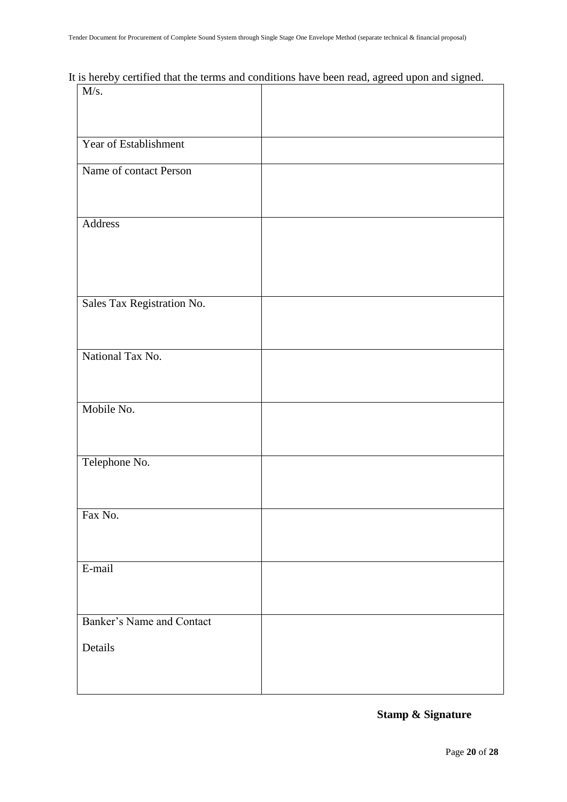It is hereby certified that the terms and conditions have been read, agreed upon and signed.

| M/s.                             |  |  |
|----------------------------------|--|--|
|                                  |  |  |
|                                  |  |  |
|                                  |  |  |
| Year of Establishment            |  |  |
|                                  |  |  |
| Name of contact Person           |  |  |
|                                  |  |  |
|                                  |  |  |
| Address                          |  |  |
|                                  |  |  |
|                                  |  |  |
|                                  |  |  |
|                                  |  |  |
|                                  |  |  |
| Sales Tax Registration No.       |  |  |
|                                  |  |  |
|                                  |  |  |
|                                  |  |  |
| National Tax No.                 |  |  |
|                                  |  |  |
|                                  |  |  |
|                                  |  |  |
| Mobile No.                       |  |  |
|                                  |  |  |
|                                  |  |  |
|                                  |  |  |
| Telephone No.                    |  |  |
|                                  |  |  |
|                                  |  |  |
|                                  |  |  |
| Fax No.                          |  |  |
|                                  |  |  |
|                                  |  |  |
|                                  |  |  |
| E-mail                           |  |  |
|                                  |  |  |
|                                  |  |  |
|                                  |  |  |
| <b>Banker's Name and Contact</b> |  |  |
|                                  |  |  |
| Details                          |  |  |
|                                  |  |  |
|                                  |  |  |
|                                  |  |  |

**Stamp & Signature**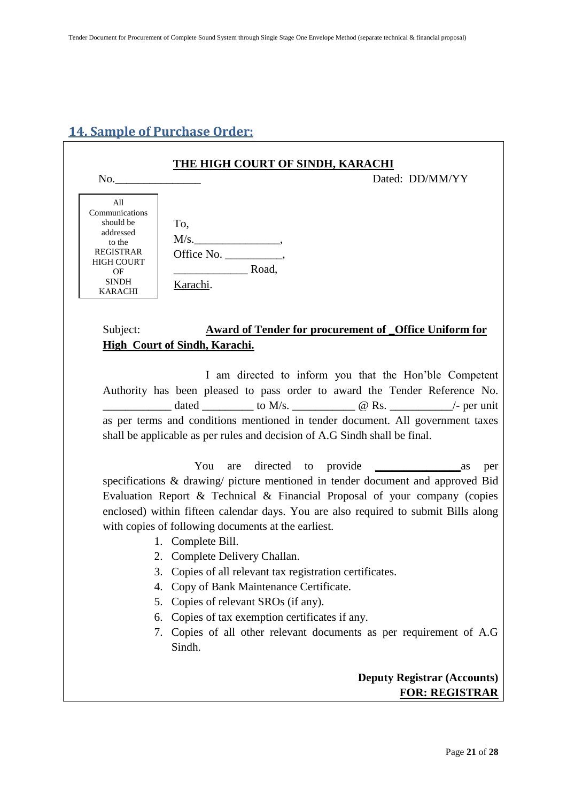# <span id="page-20-0"></span>**14. Sample of Purchase Order:**

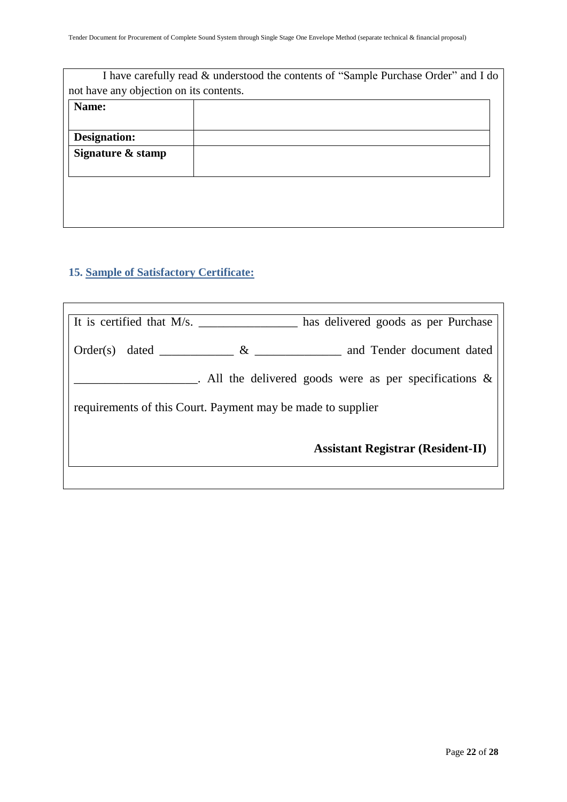|                                         | I have carefully read & understood the contents of "Sample Purchase Order" and I do |
|-----------------------------------------|-------------------------------------------------------------------------------------|
| not have any objection on its contents. |                                                                                     |
| Name:                                   |                                                                                     |
|                                         |                                                                                     |
| Designation:                            |                                                                                     |
| Signature & stamp                       |                                                                                     |
|                                         |                                                                                     |
|                                         |                                                                                     |
|                                         |                                                                                     |
|                                         |                                                                                     |
|                                         |                                                                                     |

# <span id="page-21-0"></span>**15. Sample of Satisfactory Certificate:**

| and Tender document dated<br>Order(s)<br>$\&$<br>dated<br>. All the delivered goods were as per specifications $\&$<br>requirements of this Court. Payment may be made to supplier |  |  |
|------------------------------------------------------------------------------------------------------------------------------------------------------------------------------------|--|--|
|                                                                                                                                                                                    |  |  |
|                                                                                                                                                                                    |  |  |
|                                                                                                                                                                                    |  |  |
| <b>Assistant Registrar (Resident-II)</b>                                                                                                                                           |  |  |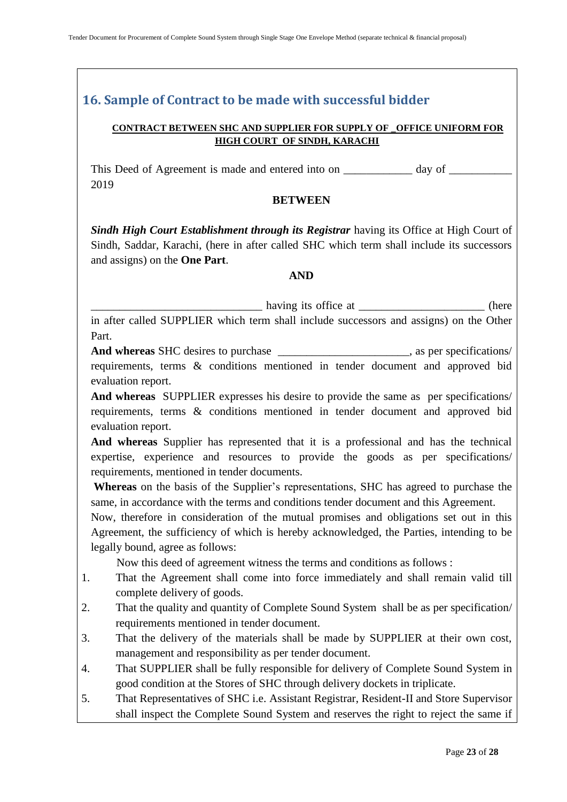# <span id="page-22-0"></span>**16. Sample of Contract to be made with successful bidder**

#### **CONTRACT BETWEEN SHC AND SUPPLIER FOR SUPPLY OF \_OFFICE UNIFORM FOR HIGH COURT OF SINDH, KARACHI**

This Deed of Agreement is made and entered into on \_\_\_\_\_\_\_\_\_\_\_\_\_ day of \_\_\_\_\_\_\_\_\_ 2019

#### **BETWEEN**

*Sindh High Court Establishment through its Registrar having its Office at High Court of* Sindh, Saddar, Karachi, (here in after called SHC which term shall include its successors and assigns) on the **One Part**.

#### **AND**

\_\_\_\_\_\_\_\_\_\_\_\_\_\_\_\_\_\_\_\_\_\_\_\_\_\_\_\_\_\_ having its office at \_\_\_\_\_\_\_\_\_\_\_\_\_\_\_\_\_\_\_\_\_\_ (here

in after called SUPPLIER which term shall include successors and assigns) on the Other Part.

**And whereas** SHC desires to purchase \_\_\_\_\_\_\_\_\_\_\_\_\_\_\_\_\_\_\_\_\_\_\_, as per specifications/ requirements, terms & conditions mentioned in tender document and approved bid evaluation report.

**And whereas** SUPPLIER expresses his desire to provide the same as per specifications/ requirements, terms & conditions mentioned in tender document and approved bid evaluation report.

**And whereas** Supplier has represented that it is a professional and has the technical expertise, experience and resources to provide the goods as per specifications/ requirements, mentioned in tender documents.

**Whereas** on the basis of the Supplier"s representations, SHC has agreed to purchase the same, in accordance with the terms and conditions tender document and this Agreement.

Now, therefore in consideration of the mutual promises and obligations set out in this Agreement, the sufficiency of which is hereby acknowledged, the Parties, intending to be legally bound, agree as follows:

Now this deed of agreement witness the terms and conditions as follows :

- 1. That the Agreement shall come into force immediately and shall remain valid till complete delivery of goods.
- 2. That the quality and quantity of Complete Sound System shall be as per specification/ requirements mentioned in tender document.
- 3. That the delivery of the materials shall be made by SUPPLIER at their own cost, management and responsibility as per tender document.
- 4. That SUPPLIER shall be fully responsible for delivery of Complete Sound System in good condition at the Stores of SHC through delivery dockets in triplicate.
- 5. That Representatives of SHC i.e. Assistant Registrar, Resident-II and Store Supervisor shall inspect the Complete Sound System and reserves the right to reject the same if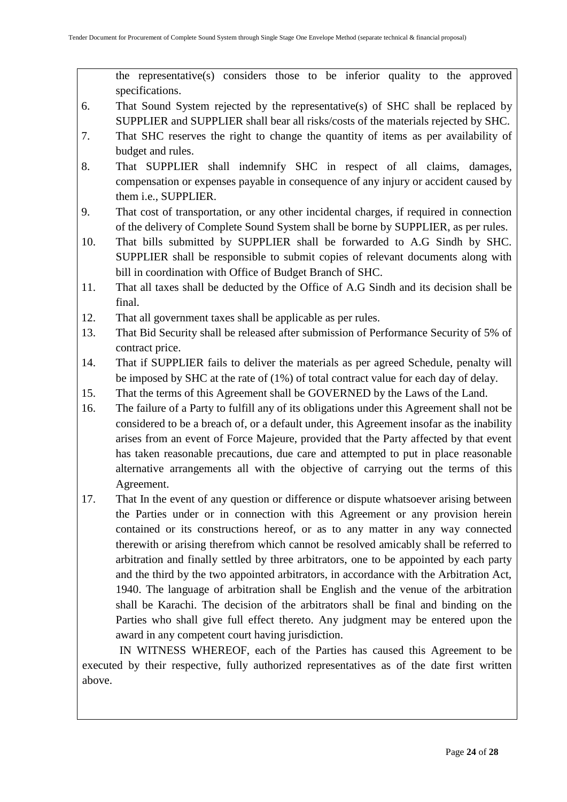the representative(s) considers those to be inferior quality to the approved specifications.

- 6. That Sound System rejected by the representative(s) of SHC shall be replaced by SUPPLIER and SUPPLIER shall bear all risks/costs of the materials rejected by SHC.
- 7. That SHC reserves the right to change the quantity of items as per availability of budget and rules.
- 8. That SUPPLIER shall indemnify SHC in respect of all claims, damages, compensation or expenses payable in consequence of any injury or accident caused by them i.e., SUPPLIER.
- 9. That cost of transportation, or any other incidental charges, if required in connection of the delivery of Complete Sound System shall be borne by SUPPLIER, as per rules.
- 10. That bills submitted by SUPPLIER shall be forwarded to A.G Sindh by SHC. SUPPLIER shall be responsible to submit copies of relevant documents along with bill in coordination with Office of Budget Branch of SHC.
- 11. That all taxes shall be deducted by the Office of A.G Sindh and its decision shall be final.
- 12. That all government taxes shall be applicable as per rules.
- 13. That Bid Security shall be released after submission of Performance Security of 5% of contract price.
- 14. That if SUPPLIER fails to deliver the materials as per agreed Schedule, penalty will be imposed by SHC at the rate of (1%) of total contract value for each day of delay.
- 15. That the terms of this Agreement shall be GOVERNED by the Laws of the Land.
- 16. The failure of a Party to fulfill any of its obligations under this Agreement shall not be considered to be a breach of, or a default under, this Agreement insofar as the inability arises from an event of Force Majeure, provided that the Party affected by that event has taken reasonable precautions, due care and attempted to put in place reasonable alternative arrangements all with the objective of carrying out the terms of this Agreement.
- 17. That In the event of any question or difference or dispute whatsoever arising between the Parties under or in connection with this Agreement or any provision herein contained or its constructions hereof, or as to any matter in any way connected therewith or arising therefrom which cannot be resolved amicably shall be referred to arbitration and finally settled by three arbitrators, one to be appointed by each party and the third by the two appointed arbitrators, in accordance with the Arbitration Act, 1940. The language of arbitration shall be English and the venue of the arbitration shall be Karachi. The decision of the arbitrators shall be final and binding on the Parties who shall give full effect thereto. Any judgment may be entered upon the award in any competent court having jurisdiction.

 IN WITNESS WHEREOF, each of the Parties has caused this Agreement to be executed by their respective, fully authorized representatives as of the date first written above.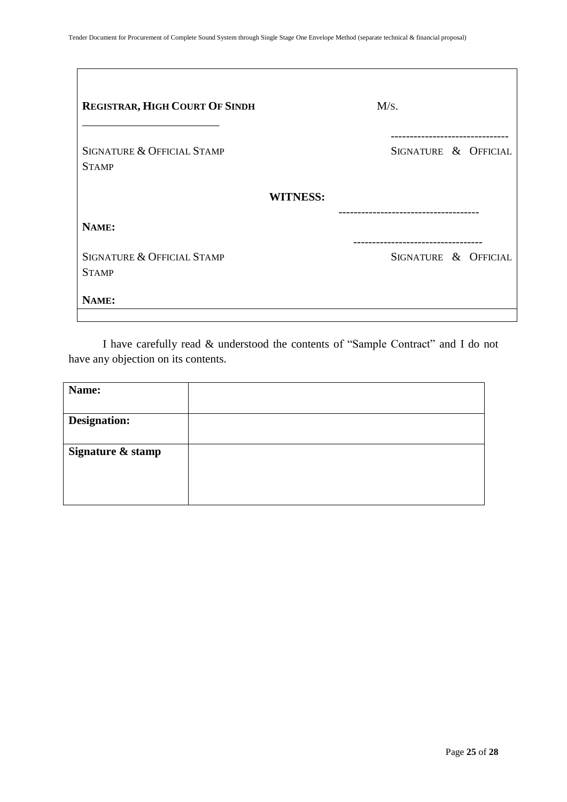| <b>REGISTRAR, HIGH COURT OF SINDH</b>      | M/s.                 |
|--------------------------------------------|----------------------|
| SIGNATURE & OFFICIAL STAMP<br><b>STAMP</b> | SIGNATURE & OFFICIAL |
| <b>WITNESS:</b>                            |                      |
| NAME:                                      |                      |
| SIGNATURE & OFFICIAL STAMP<br><b>STAMP</b> | SIGNATURE & OFFICIAL |
| NAME:                                      |                      |

I have carefully read & understood the contents of "Sample Contract" and I do not have any objection on its contents.

<span id="page-24-0"></span>

| Name:               |  |
|---------------------|--|
|                     |  |
| <b>Designation:</b> |  |
|                     |  |
| Signature & stamp   |  |
|                     |  |
|                     |  |
|                     |  |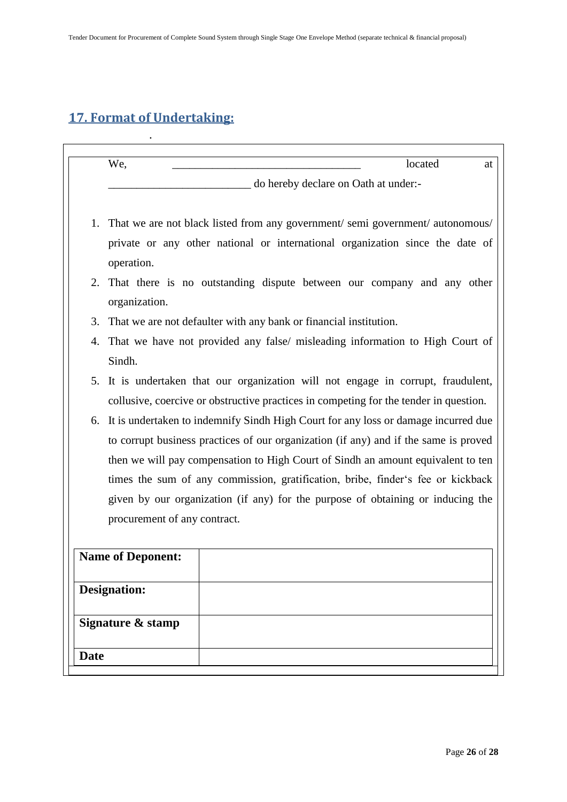# **17. Format of Undertaking:**

.

|             | We,<br>located<br>at                                                                                                                                                                                                                                                                                                                                                                                                                                                 |  |
|-------------|----------------------------------------------------------------------------------------------------------------------------------------------------------------------------------------------------------------------------------------------------------------------------------------------------------------------------------------------------------------------------------------------------------------------------------------------------------------------|--|
|             | do hereby declare on Oath at under:-                                                                                                                                                                                                                                                                                                                                                                                                                                 |  |
| 1.          | That we are not black listed from any government/ semi government/ autonomous/<br>private or any other national or international organization since the date of                                                                                                                                                                                                                                                                                                      |  |
|             | operation.<br>2. That there is no outstanding dispute between our company and any other<br>organization.                                                                                                                                                                                                                                                                                                                                                             |  |
| 3.          | That we are not defaulter with any bank or financial institution.                                                                                                                                                                                                                                                                                                                                                                                                    |  |
| 4.          | That we have not provided any false/ misleading information to High Court of<br>Sindh.                                                                                                                                                                                                                                                                                                                                                                               |  |
| 5.          | It is undertaken that our organization will not engage in corrupt, fraudulent,<br>collusive, coercive or obstructive practices in competing for the tender in question.                                                                                                                                                                                                                                                                                              |  |
| 6.          | It is undertaken to indemnify Sindh High Court for any loss or damage incurred due<br>to corrupt business practices of our organization (if any) and if the same is proved<br>then we will pay compensation to High Court of Sindh an amount equivalent to ten<br>times the sum of any commission, gratification, bribe, finder's fee or kickback<br>given by our organization (if any) for the purpose of obtaining or inducing the<br>procurement of any contract. |  |
|             | <b>Name of Deponent:</b>                                                                                                                                                                                                                                                                                                                                                                                                                                             |  |
|             | <b>Designation:</b>                                                                                                                                                                                                                                                                                                                                                                                                                                                  |  |
|             | Signature & stamp                                                                                                                                                                                                                                                                                                                                                                                                                                                    |  |
| <b>Date</b> |                                                                                                                                                                                                                                                                                                                                                                                                                                                                      |  |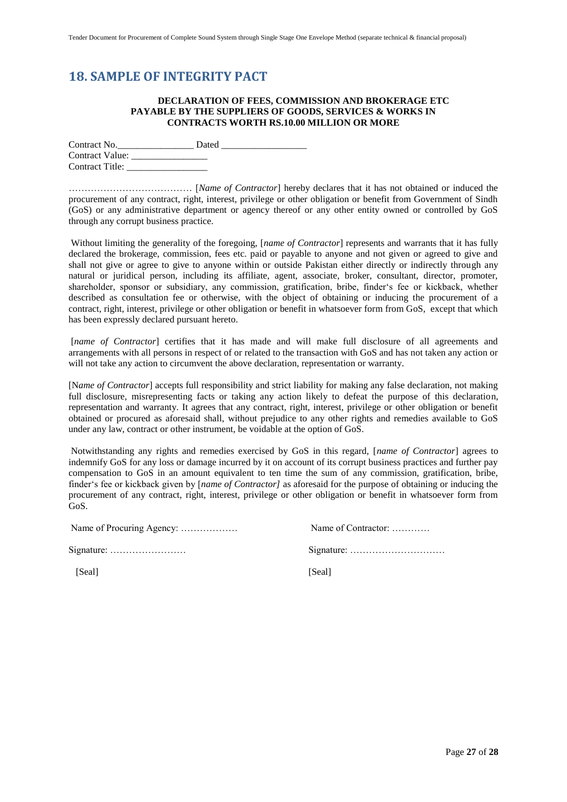### <span id="page-26-0"></span>**18. SAMPLE OF INTEGRITY PACT**

#### **DECLARATION OF FEES, COMMISSION AND BROKERAGE ETC PAYABLE BY THE SUPPLIERS OF GOODS, SERVICES & WORKS IN CONTRACTS WORTH RS.10.00 MILLION OR MORE**

Contract No. Contract Value: \_\_\_\_\_\_\_\_\_\_\_\_\_\_\_\_ Contract Title: \_\_\_\_\_\_\_\_\_\_\_\_\_\_\_\_\_

………………………………… [*Name of Contractor*] hereby declares that it has not obtained or induced the procurement of any contract, right, interest, privilege or other obligation or benefit from Government of Sindh (GoS) or any administrative department or agency thereof or any other entity owned or controlled by GoS through any corrupt business practice.

Without limiting the generality of the foregoing, [*name of Contractor*] represents and warrants that it has fully declared the brokerage, commission, fees etc. paid or payable to anyone and not given or agreed to give and shall not give or agree to give to anyone within or outside Pakistan either directly or indirectly through any natural or juridical person, including its affiliate, agent, associate, broker, consultant, director, promoter, shareholder, sponsor or subsidiary, any commission, gratification, bribe, finder"s fee or kickback, whether described as consultation fee or otherwise, with the object of obtaining or inducing the procurement of a contract, right, interest, privilege or other obligation or benefit in whatsoever form from GoS, except that which has been expressly declared pursuant hereto.

[*name of Contractor*] certifies that it has made and will make full disclosure of all agreements and arrangements with all persons in respect of or related to the transaction with GoS and has not taken any action or will not take any action to circumvent the above declaration, representation or warranty.

[N*ame of Contractor*] accepts full responsibility and strict liability for making any false declaration, not making full disclosure, misrepresenting facts or taking any action likely to defeat the purpose of this declaration, representation and warranty. It agrees that any contract, right, interest, privilege or other obligation or benefit obtained or procured as aforesaid shall, without prejudice to any other rights and remedies available to GoS under any law, contract or other instrument, be voidable at the option of GoS.

Notwithstanding any rights and remedies exercised by GoS in this regard, [*name of Contractor*] agrees to indemnify GoS for any loss or damage incurred by it on account of its corrupt business practices and further pay compensation to GoS in an amount equivalent to ten time the sum of any commission, gratification, bribe, finder"s fee or kickback given by [*name of Contractor]* as aforesaid for the purpose of obtaining or inducing the procurement of any contract, right, interest, privilege or other obligation or benefit in whatsoever form from GoS.

Name of Procuring Agency: ……………… Name of Contractor: …………

| Signature: $\dots \dots \dots \dots \dots \dots \dots$ |  |
|--------------------------------------------------------|--|
|                                                        |  |

[Seal] [Seal]